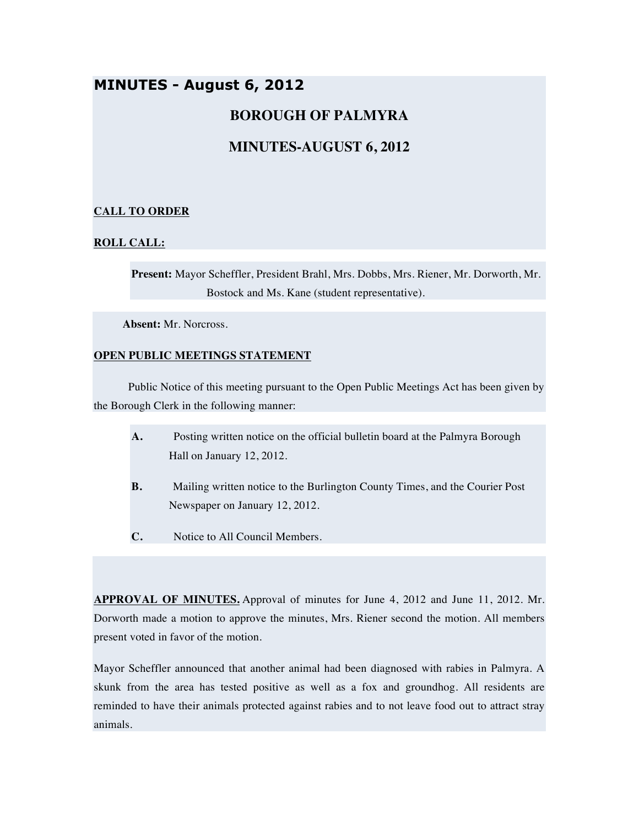# **MINUTES - August 6, 2012**

## **BOROUGH OF PALMYRA**

## **MINUTES-AUGUST 6, 2012**

## **CALL TO ORDER**

### **ROLL CALL:**

**Present:** Mayor Scheffler, President Brahl, Mrs. Dobbs, Mrs. Riener, Mr. Dorworth, Mr. Bostock and Ms. Kane (student representative).

**Absent:** Mr. Norcross.

### **OPEN PUBLIC MEETINGS STATEMENT**

Public Notice of this meeting pursuant to the Open Public Meetings Act has been given by the Borough Clerk in the following manner:

- **A.** Posting written notice on the official bulletin board at the Palmyra Borough Hall on January 12, 2012.
- **B.** Mailing written notice to the Burlington County Times, and the Courier Post Newspaper on January 12, 2012.
- **C.** Notice to All Council Members.

**APPROVAL OF MINUTES.** Approval of minutes for June 4, 2012 and June 11, 2012. Mr. Dorworth made a motion to approve the minutes, Mrs. Riener second the motion. All members present voted in favor of the motion.

Mayor Scheffler announced that another animal had been diagnosed with rabies in Palmyra. A skunk from the area has tested positive as well as a fox and groundhog. All residents are reminded to have their animals protected against rabies and to not leave food out to attract stray animals.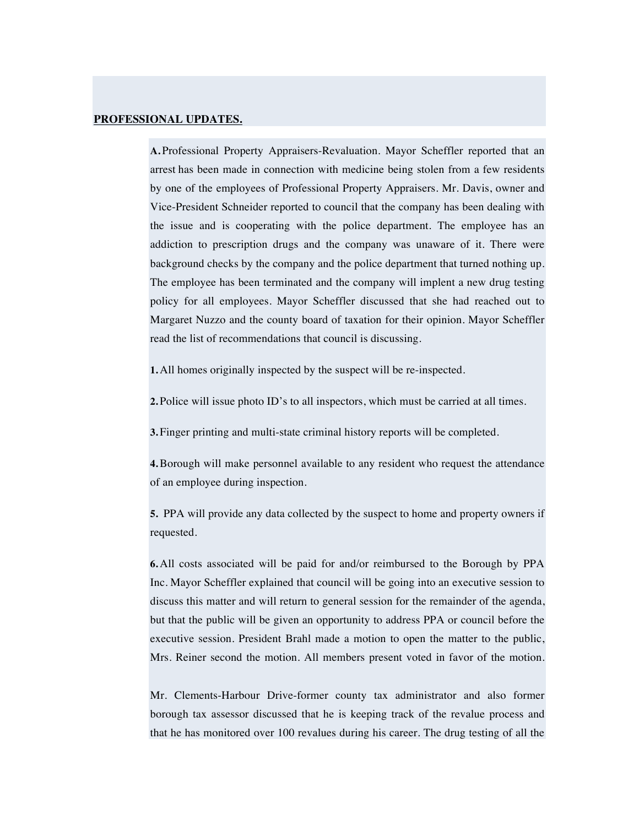#### **PROFESSIONAL UPDATES.**

**A.** Professional Property Appraisers-Revaluation. Mayor Scheffler reported that an arrest has been made in connection with medicine being stolen from a few residents by one of the employees of Professional Property Appraisers. Mr. Davis, owner and Vice-President Schneider reported to council that the company has been dealing with the issue and is cooperating with the police department. The employee has an addiction to prescription drugs and the company was unaware of it. There were background checks by the company and the police department that turned nothing up. The employee has been terminated and the company will implent a new drug testing policy for all employees. Mayor Scheffler discussed that she had reached out to Margaret Nuzzo and the county board of taxation for their opinion. Mayor Scheffler read the list of recommendations that council is discussing.

**1.** All homes originally inspected by the suspect will be re-inspected.

**2.** Police will issue photo ID's to all inspectors, which must be carried at all times.

**3.** Finger printing and multi-state criminal history reports will be completed.

**4.**Borough will make personnel available to any resident who request the attendance of an employee during inspection.

**5.** PPA will provide any data collected by the suspect to home and property owners if requested.

**6.** All costs associated will be paid for and/or reimbursed to the Borough by PPA Inc. Mayor Scheffler explained that council will be going into an executive session to discuss this matter and will return to general session for the remainder of the agenda, but that the public will be given an opportunity to address PPA or council before the executive session. President Brahl made a motion to open the matter to the public, Mrs. Reiner second the motion. All members present voted in favor of the motion.

Mr. Clements-Harbour Drive-former county tax administrator and also former borough tax assessor discussed that he is keeping track of the revalue process and that he has monitored over 100 revalues during his career. The drug testing of all the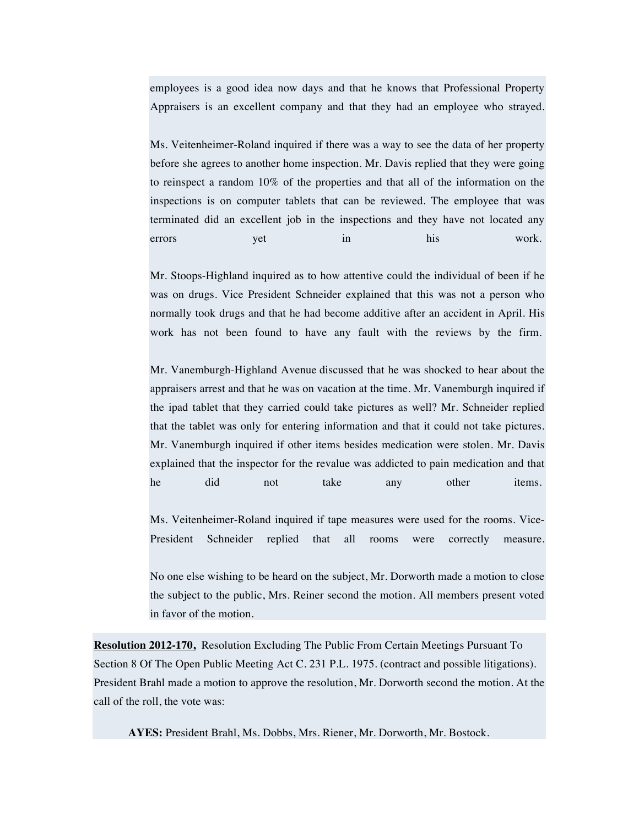employees is a good idea now days and that he knows that Professional Property Appraisers is an excellent company and that they had an employee who strayed.

Ms. Veitenheimer-Roland inquired if there was a way to see the data of her property before she agrees to another home inspection. Mr. Davis replied that they were going to reinspect a random 10% of the properties and that all of the information on the inspections is on computer tablets that can be reviewed. The employee that was terminated did an excellent job in the inspections and they have not located any errors yet in his work.

Mr. Stoops-Highland inquired as to how attentive could the individual of been if he was on drugs. Vice President Schneider explained that this was not a person who normally took drugs and that he had become additive after an accident in April. His work has not been found to have any fault with the reviews by the firm.

Mr. Vanemburgh-Highland Avenue discussed that he was shocked to hear about the appraisers arrest and that he was on vacation at the time. Mr. Vanemburgh inquired if the ipad tablet that they carried could take pictures as well? Mr. Schneider replied that the tablet was only for entering information and that it could not take pictures. Mr. Vanemburgh inquired if other items besides medication were stolen. Mr. Davis explained that the inspector for the revalue was addicted to pain medication and that he did not take any other items.

Ms. Veitenheimer-Roland inquired if tape measures were used for the rooms. Vice-President Schneider replied that all rooms were correctly measure.

No one else wishing to be heard on the subject, Mr. Dorworth made a motion to close the subject to the public, Mrs. Reiner second the motion. All members present voted in favor of the motion.

**Resolution 2012-170,** Resolution Excluding The Public From Certain Meetings Pursuant To Section 8 Of The Open Public Meeting Act C. 231 P.L. 1975. (contract and possible litigations). President Brahl made a motion to approve the resolution, Mr. Dorworth second the motion. At the call of the roll, the vote was:

**AYES:** President Brahl, Ms. Dobbs, Mrs. Riener, Mr. Dorworth, Mr. Bostock.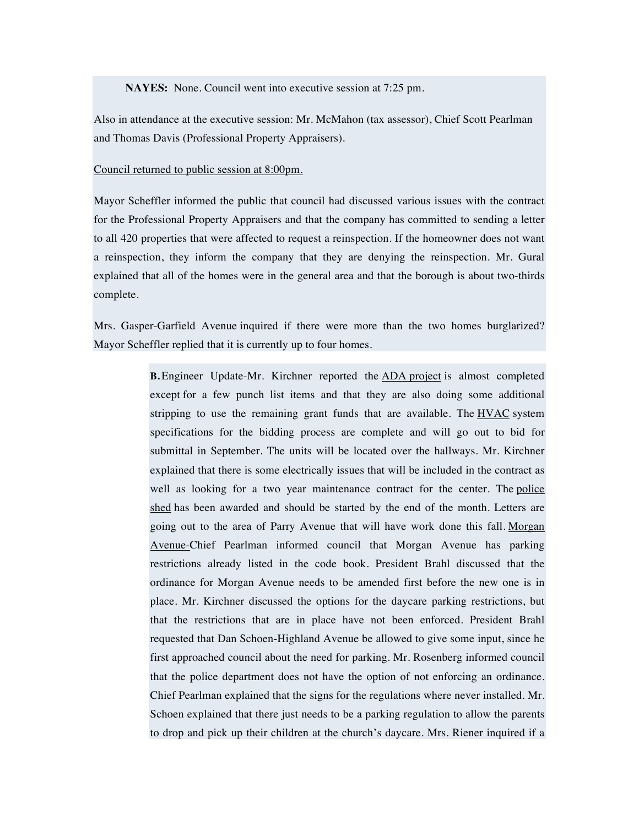**NAYES:** None. Council went into executive session at 7:25 pm.

Also in attendance at the executive session: Mr. McMahon (tax assessor), Chief Scott Pearlman and Thomas Davis (Professional Property Appraisers).

#### Council returned to public session at 8:00pm.

Mayor Scheffler informed the public that council had discussed various issues with the contract for the Professional Property Appraisers and that the company has committed to sending a letter to all 420 properties that were affected to request a reinspection. If the homeowner does not want a reinspection, they inform the company that they are denying the reinspection. Mr. Gural explained that all of the homes were in the general area and that the borough is about two-thirds complete.

Mrs. Gasper-Garfield Avenue inquired if there were more than the two homes burglarized? Mayor Scheffler replied that it is currently up to four homes.

> **B.** Engineer Update-Mr. Kirchner reported the ADA project is almost completed except for a few punch list items and that they are also doing some additional stripping to use the remaining grant funds that are available. The HVAC system specifications for the bidding process are complete and will go out to bid for submittal in September. The units will be located over the hallways. Mr. Kirchner explained that there is some electrically issues that will be included in the contract as well as looking for a two year maintenance contract for the center. The police shed has been awarded and should be started by the end of the month. Letters are going out to the area of Parry Avenue that will have work done this fall. Morgan Avenue-Chief Pearlman informed council that Morgan Avenue has parking restrictions already listed in the code book. President Brahl discussed that the ordinance for Morgan Avenue needs to be amended first before the new one is in place. Mr. Kirchner discussed the options for the daycare parking restrictions, but that the restrictions that are in place have not been enforced. President Brahl requested that Dan Schoen-Highland Avenue be allowed to give some input, since he first approached council about the need for parking. Mr. Rosenberg informed council that the police department does not have the option of not enforcing an ordinance. Chief Pearlman explained that the signs for the regulations where never installed. Mr. Schoen explained that there just needs to be a parking regulation to allow the parents to drop and pick up their children at the church's daycare. Mrs. Riener inquired if a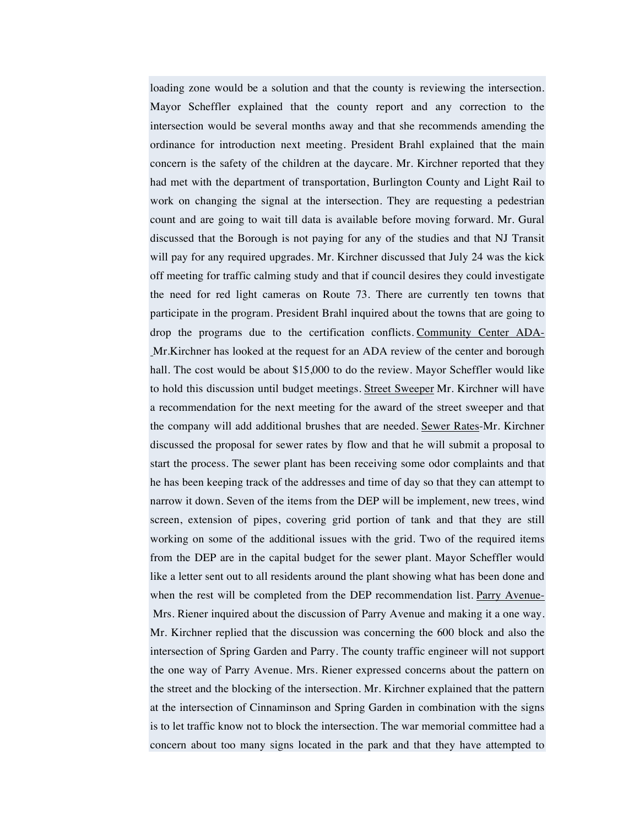loading zone would be a solution and that the county is reviewing the intersection. Mayor Scheffler explained that the county report and any correction to the intersection would be several months away and that she recommends amending the ordinance for introduction next meeting. President Brahl explained that the main concern is the safety of the children at the daycare. Mr. Kirchner reported that they had met with the department of transportation, Burlington County and Light Rail to work on changing the signal at the intersection. They are requesting a pedestrian count and are going to wait till data is available before moving forward. Mr. Gural discussed that the Borough is not paying for any of the studies and that NJ Transit will pay for any required upgrades. Mr. Kirchner discussed that July 24 was the kick off meeting for traffic calming study and that if council desires they could investigate the need for red light cameras on Route 73. There are currently ten towns that participate in the program. President Brahl inquired about the towns that are going to drop the programs due to the certification conflicts. Community Center ADA-Mr.Kirchner has looked at the request for an ADA review of the center and borough hall. The cost would be about \$15,000 to do the review. Mayor Scheffler would like to hold this discussion until budget meetings. Street Sweeper Mr. Kirchner will have a recommendation for the next meeting for the award of the street sweeper and that the company will add additional brushes that are needed. Sewer Rates-Mr. Kirchner discussed the proposal for sewer rates by flow and that he will submit a proposal to start the process. The sewer plant has been receiving some odor complaints and that he has been keeping track of the addresses and time of day so that they can attempt to narrow it down. Seven of the items from the DEP will be implement, new trees, wind screen, extension of pipes, covering grid portion of tank and that they are still working on some of the additional issues with the grid. Two of the required items from the DEP are in the capital budget for the sewer plant. Mayor Scheffler would like a letter sent out to all residents around the plant showing what has been done and when the rest will be completed from the DEP recommendation list. Parry Avenue-Mrs. Riener inquired about the discussion of Parry Avenue and making it a one way. Mr. Kirchner replied that the discussion was concerning the 600 block and also the intersection of Spring Garden and Parry. The county traffic engineer will not support the one way of Parry Avenue. Mrs. Riener expressed concerns about the pattern on the street and the blocking of the intersection. Mr. Kirchner explained that the pattern at the intersection of Cinnaminson and Spring Garden in combination with the signs is to let traffic know not to block the intersection. The war memorial committee had a concern about too many signs located in the park and that they have attempted to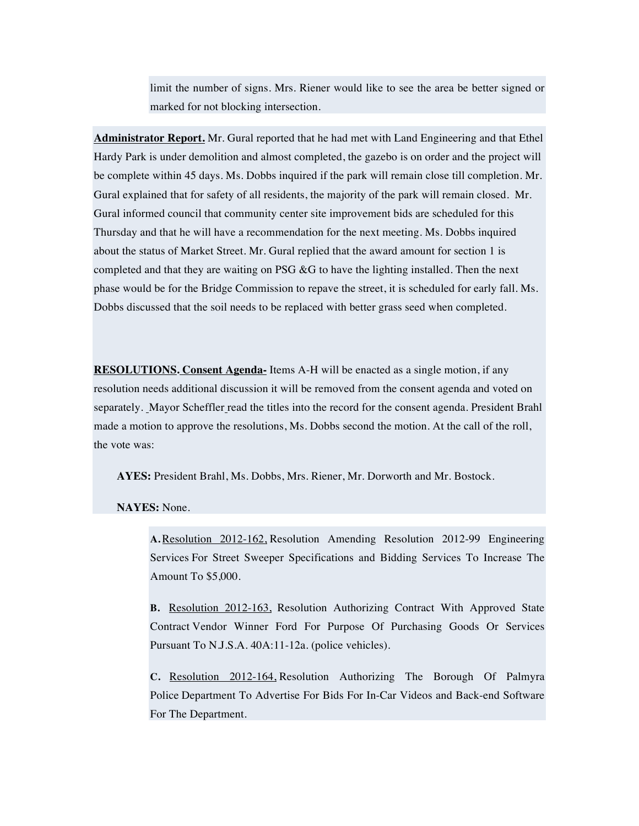limit the number of signs. Mrs. Riener would like to see the area be better signed or marked for not blocking intersection.

**Administrator Report.** Mr. Gural reported that he had met with Land Engineering and that Ethel Hardy Park is under demolition and almost completed, the gazebo is on order and the project will be complete within 45 days. Ms. Dobbs inquired if the park will remain close till completion. Mr. Gural explained that for safety of all residents, the majority of the park will remain closed. Mr. Gural informed council that community center site improvement bids are scheduled for this Thursday and that he will have a recommendation for the next meeting. Ms. Dobbs inquired about the status of Market Street. Mr. Gural replied that the award amount for section 1 is completed and that they are waiting on PSG &G to have the lighting installed. Then the next phase would be for the Bridge Commission to repave the street, it is scheduled for early fall. Ms. Dobbs discussed that the soil needs to be replaced with better grass seed when completed.

**RESOLUTIONS. Consent Agenda-** Items A-H will be enacted as a single motion, if any resolution needs additional discussion it will be removed from the consent agenda and voted on separately. Mayor Scheffler read the titles into the record for the consent agenda. President Brahl made a motion to approve the resolutions, Ms. Dobbs second the motion. At the call of the roll, the vote was:

**AYES:** President Brahl, Ms. Dobbs, Mrs. Riener, Mr. Dorworth and Mr. Bostock.

**NAYES:** None.

**A.**Resolution 2012-162, Resolution Amending Resolution 2012-99 Engineering Services For Street Sweeper Specifications and Bidding Services To Increase The Amount To \$5,000.

**B.** Resolution 2012-163, Resolution Authorizing Contract With Approved State Contract Vendor Winner Ford For Purpose Of Purchasing Goods Or Services Pursuant To N.J.S.A. 40A:11-12a. (police vehicles).

**C.** Resolution 2012-164, Resolution Authorizing The Borough Of Palmyra Police Department To Advertise For Bids For In-Car Videos and Back-end Software For The Department.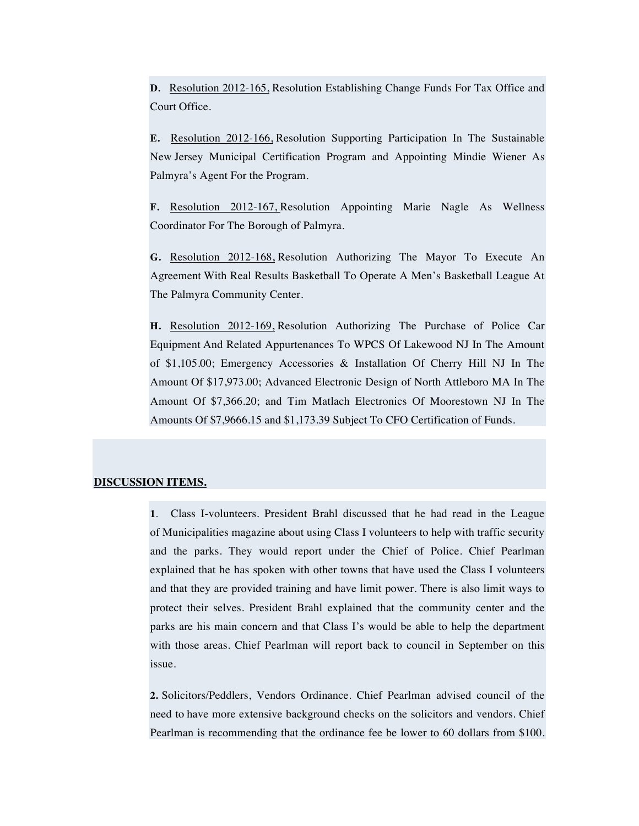**D.** Resolution 2012-165, Resolution Establishing Change Funds For Tax Office and Court Office.

**E.** Resolution 2012-166, Resolution Supporting Participation In The Sustainable New Jersey Municipal Certification Program and Appointing Mindie Wiener As Palmyra's Agent For the Program.

**F.** Resolution 2012-167, Resolution Appointing Marie Nagle As Wellness Coordinator For The Borough of Palmyra.

**G.** Resolution 2012-168, Resolution Authorizing The Mayor To Execute An Agreement With Real Results Basketball To Operate A Men's Basketball League At The Palmyra Community Center.

**H.** Resolution 2012-169, Resolution Authorizing The Purchase of Police Car Equipment And Related Appurtenances To WPCS Of Lakewood NJ In The Amount of \$1,105.00; Emergency Accessories & Installation Of Cherry Hill NJ In The Amount Of \$17,973.00; Advanced Electronic Design of North Attleboro MA In The Amount Of \$7,366.20; and Tim Matlach Electronics Of Moorestown NJ In The Amounts Of \$7,9666.15 and \$1,173.39 Subject To CFO Certification of Funds.

### **DISCUSSION ITEMS.**

**1**. Class I-volunteers. President Brahl discussed that he had read in the League of Municipalities magazine about using Class I volunteers to help with traffic security and the parks. They would report under the Chief of Police. Chief Pearlman explained that he has spoken with other towns that have used the Class I volunteers and that they are provided training and have limit power. There is also limit ways to protect their selves. President Brahl explained that the community center and the parks are his main concern and that Class I's would be able to help the department with those areas. Chief Pearlman will report back to council in September on this issue.

**2.** Solicitors/Peddlers, Vendors Ordinance. Chief Pearlman advised council of the need to have more extensive background checks on the solicitors and vendors. Chief Pearlman is recommending that the ordinance fee be lower to 60 dollars from \$100.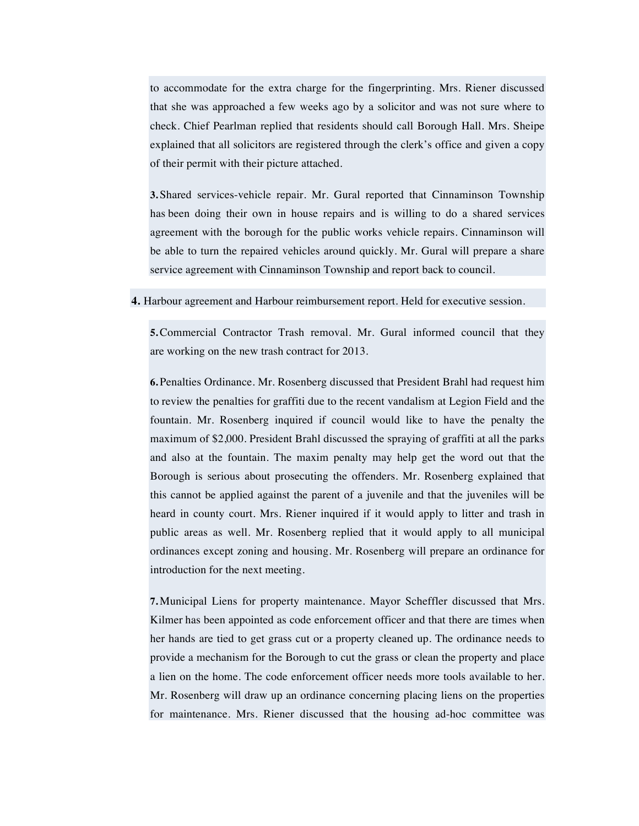to accommodate for the extra charge for the fingerprinting. Mrs. Riener discussed that she was approached a few weeks ago by a solicitor and was not sure where to check. Chief Pearlman replied that residents should call Borough Hall. Mrs. Sheipe explained that all solicitors are registered through the clerk's office and given a copy of their permit with their picture attached.

**3.** Shared services-vehicle repair. Mr. Gural reported that Cinnaminson Township has been doing their own in house repairs and is willing to do a shared services agreement with the borough for the public works vehicle repairs. Cinnaminson will be able to turn the repaired vehicles around quickly. Mr. Gural will prepare a share service agreement with Cinnaminson Township and report back to council.

#### **4.** Harbour agreement and Harbour reimbursement report. Held for executive session.

**5.**Commercial Contractor Trash removal. Mr. Gural informed council that they are working on the new trash contract for 2013.

**6.** Penalties Ordinance. Mr. Rosenberg discussed that President Brahl had request him to review the penalties for graffiti due to the recent vandalism at Legion Field and the fountain. Mr. Rosenberg inquired if council would like to have the penalty the maximum of \$2,000. President Brahl discussed the spraying of graffiti at all the parks and also at the fountain. The maxim penalty may help get the word out that the Borough is serious about prosecuting the offenders. Mr. Rosenberg explained that this cannot be applied against the parent of a juvenile and that the juveniles will be heard in county court. Mrs. Riener inquired if it would apply to litter and trash in public areas as well. Mr. Rosenberg replied that it would apply to all municipal ordinances except zoning and housing. Mr. Rosenberg will prepare an ordinance for introduction for the next meeting.

**7.** Municipal Liens for property maintenance. Mayor Scheffler discussed that Mrs. Kilmer has been appointed as code enforcement officer and that there are times when her hands are tied to get grass cut or a property cleaned up. The ordinance needs to provide a mechanism for the Borough to cut the grass or clean the property and place a lien on the home. The code enforcement officer needs more tools available to her. Mr. Rosenberg will draw up an ordinance concerning placing liens on the properties for maintenance. Mrs. Riener discussed that the housing ad-hoc committee was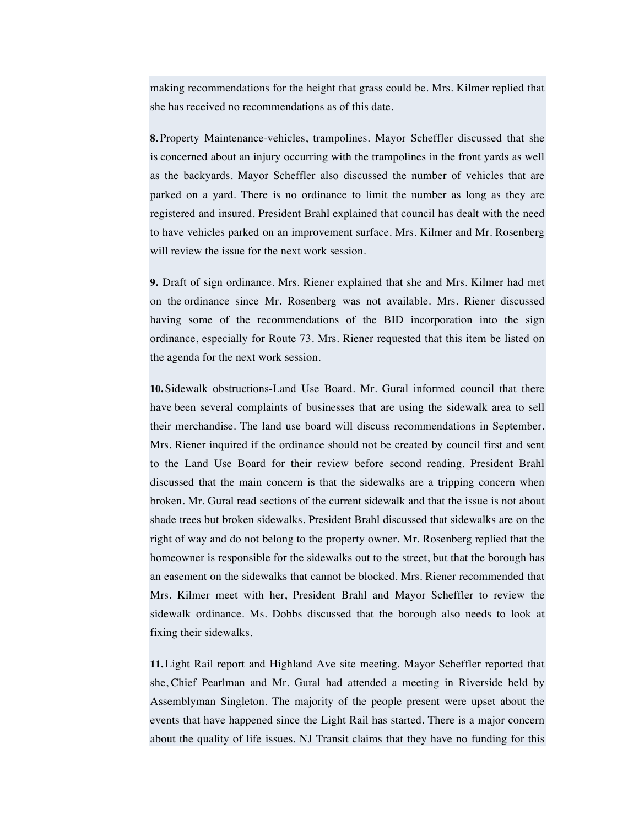making recommendations for the height that grass could be. Mrs. Kilmer replied that she has received no recommendations as of this date.

**8.** Property Maintenance-vehicles, trampolines. Mayor Scheffler discussed that she is concerned about an injury occurring with the trampolines in the front yards as well as the backyards. Mayor Scheffler also discussed the number of vehicles that are parked on a yard. There is no ordinance to limit the number as long as they are registered and insured. President Brahl explained that council has dealt with the need to have vehicles parked on an improvement surface. Mrs. Kilmer and Mr. Rosenberg will review the issue for the next work session.

**9.** Draft of sign ordinance. Mrs. Riener explained that she and Mrs. Kilmer had met on the ordinance since Mr. Rosenberg was not available. Mrs. Riener discussed having some of the recommendations of the BID incorporation into the sign ordinance, especially for Route 73. Mrs. Riener requested that this item be listed on the agenda for the next work session.

**10.** Sidewalk obstructions-Land Use Board. Mr. Gural informed council that there have been several complaints of businesses that are using the sidewalk area to sell their merchandise. The land use board will discuss recommendations in September. Mrs. Riener inquired if the ordinance should not be created by council first and sent to the Land Use Board for their review before second reading. President Brahl discussed that the main concern is that the sidewalks are a tripping concern when broken. Mr. Gural read sections of the current sidewalk and that the issue is not about shade trees but broken sidewalks. President Brahl discussed that sidewalks are on the right of way and do not belong to the property owner. Mr. Rosenberg replied that the homeowner is responsible for the sidewalks out to the street, but that the borough has an easement on the sidewalks that cannot be blocked. Mrs. Riener recommended that Mrs. Kilmer meet with her, President Brahl and Mayor Scheffler to review the sidewalk ordinance. Ms. Dobbs discussed that the borough also needs to look at fixing their sidewalks.

**11.** Light Rail report and Highland Ave site meeting. Mayor Scheffler reported that she, Chief Pearlman and Mr. Gural had attended a meeting in Riverside held by Assemblyman Singleton. The majority of the people present were upset about the events that have happened since the Light Rail has started. There is a major concern about the quality of life issues. NJ Transit claims that they have no funding for this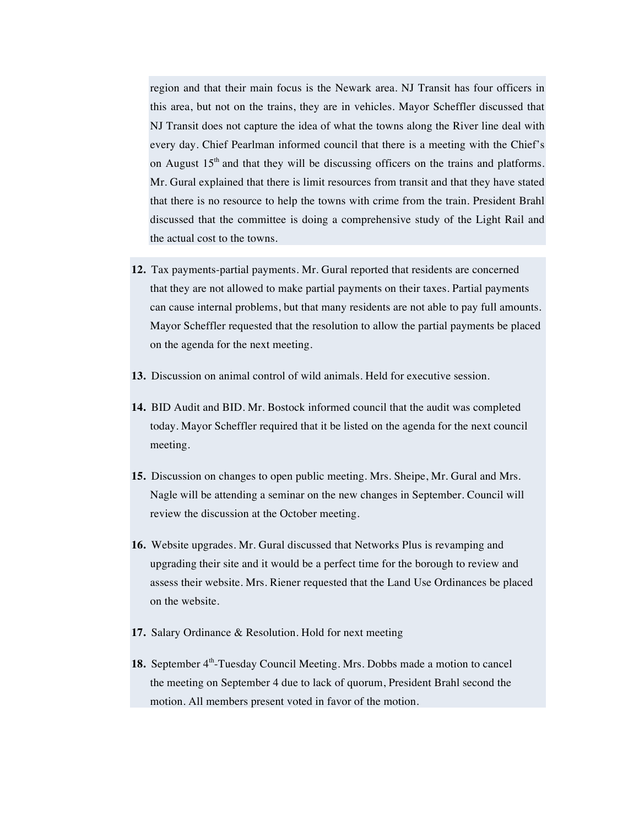region and that their main focus is the Newark area. NJ Transit has four officers in this area, but not on the trains, they are in vehicles. Mayor Scheffler discussed that NJ Transit does not capture the idea of what the towns along the River line deal with every day. Chief Pearlman informed council that there is a meeting with the Chief's on August  $15<sup>th</sup>$  and that they will be discussing officers on the trains and platforms. Mr. Gural explained that there is limit resources from transit and that they have stated that there is no resource to help the towns with crime from the train. President Brahl discussed that the committee is doing a comprehensive study of the Light Rail and the actual cost to the towns.

- **12.** Tax payments-partial payments. Mr. Gural reported that residents are concerned that they are not allowed to make partial payments on their taxes. Partial payments can cause internal problems, but that many residents are not able to pay full amounts. Mayor Scheffler requested that the resolution to allow the partial payments be placed on the agenda for the next meeting.
- **13.** Discussion on animal control of wild animals. Held for executive session.
- **14.** BID Audit and BID. Mr. Bostock informed council that the audit was completed today. Mayor Scheffler required that it be listed on the agenda for the next council meeting.
- **15.** Discussion on changes to open public meeting. Mrs. Sheipe, Mr. Gural and Mrs. Nagle will be attending a seminar on the new changes in September. Council will review the discussion at the October meeting.
- **16.** Website upgrades. Mr. Gural discussed that Networks Plus is revamping and upgrading their site and it would be a perfect time for the borough to review and assess their website. Mrs. Riener requested that the Land Use Ordinances be placed on the website.
- **17.** Salary Ordinance & Resolution. Hold for next meeting
- 18. September 4<sup>th</sup>-Tuesday Council Meeting. Mrs. Dobbs made a motion to cancel the meeting on September 4 due to lack of quorum, President Brahl second the motion. All members present voted in favor of the motion.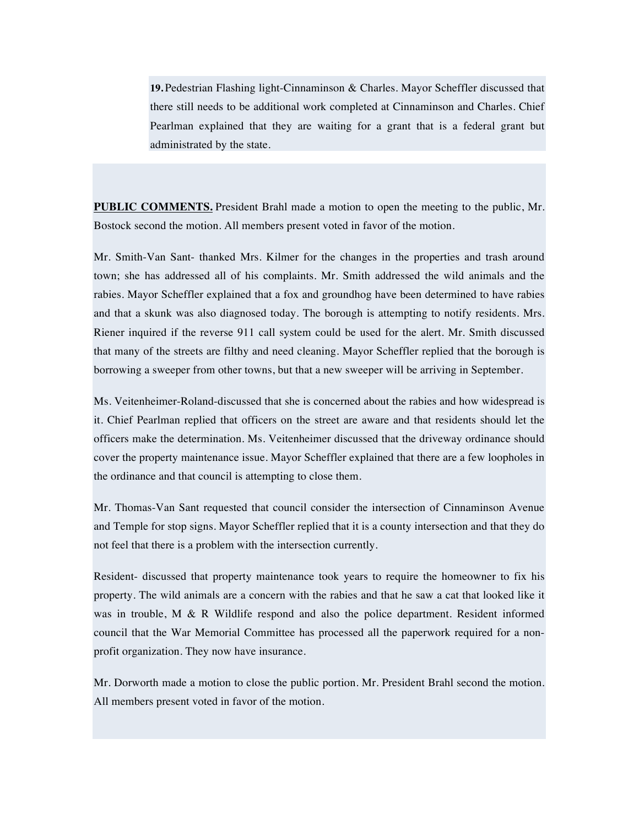**19.** Pedestrian Flashing light-Cinnaminson & Charles. Mayor Scheffler discussed that there still needs to be additional work completed at Cinnaminson and Charles. Chief Pearlman explained that they are waiting for a grant that is a federal grant but administrated by the state.

**PUBLIC COMMENTS.** President Brahl made a motion to open the meeting to the public, Mr. Bostock second the motion. All members present voted in favor of the motion.

Mr. Smith-Van Sant- thanked Mrs. Kilmer for the changes in the properties and trash around town; she has addressed all of his complaints. Mr. Smith addressed the wild animals and the rabies. Mayor Scheffler explained that a fox and groundhog have been determined to have rabies and that a skunk was also diagnosed today. The borough is attempting to notify residents. Mrs. Riener inquired if the reverse 911 call system could be used for the alert. Mr. Smith discussed that many of the streets are filthy and need cleaning. Mayor Scheffler replied that the borough is borrowing a sweeper from other towns, but that a new sweeper will be arriving in September.

Ms. Veitenheimer-Roland-discussed that she is concerned about the rabies and how widespread is it. Chief Pearlman replied that officers on the street are aware and that residents should let the officers make the determination. Ms. Veitenheimer discussed that the driveway ordinance should cover the property maintenance issue. Mayor Scheffler explained that there are a few loopholes in the ordinance and that council is attempting to close them.

Mr. Thomas-Van Sant requested that council consider the intersection of Cinnaminson Avenue and Temple for stop signs. Mayor Scheffler replied that it is a county intersection and that they do not feel that there is a problem with the intersection currently.

Resident- discussed that property maintenance took years to require the homeowner to fix his property. The wild animals are a concern with the rabies and that he saw a cat that looked like it was in trouble,  $M \& R$  Wildlife respond and also the police department. Resident informed council that the War Memorial Committee has processed all the paperwork required for a nonprofit organization. They now have insurance.

Mr. Dorworth made a motion to close the public portion. Mr. President Brahl second the motion. All members present voted in favor of the motion.